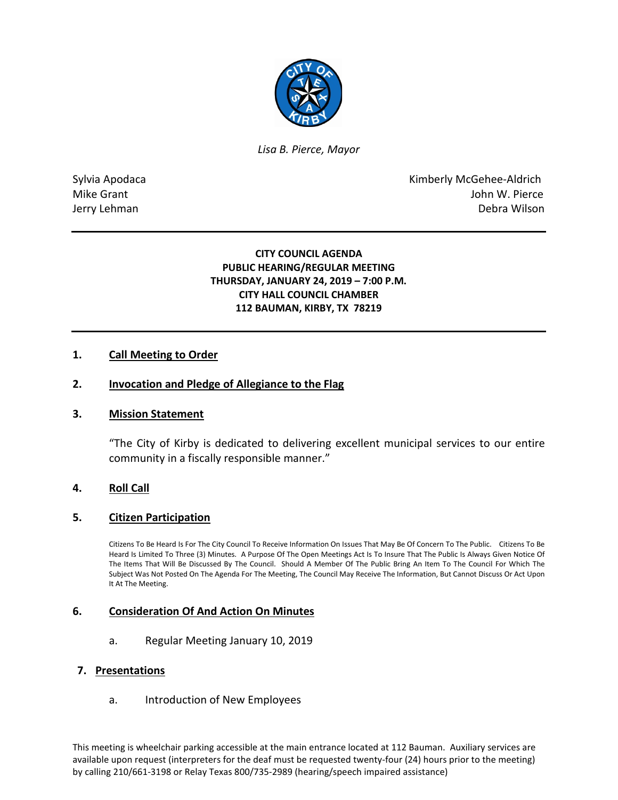

*Lisa B. Pierce, Mayor* 

Sylvia Apodaca **Kimberly McGehee-Aldrich** Mike Grant **Mike Grant** John W. Pierce Jerry Lehman Debra Wilson

## **CITY COUNCIL AGENDA PUBLIC HEARING/REGULAR MEETING THURSDAY, JANUARY 24, 2019 – 7:00 P.M. CITY HALL COUNCIL CHAMBER 112 BAUMAN, KIRBY, TX 78219**

## **1. Call Meeting to Order**

### **2. Invocation and Pledge of Allegiance to the Flag**

### **3. Mission Statement**

"The City of Kirby is dedicated to delivering excellent municipal services to our entire community in a fiscally responsible manner."

### **4. Roll Call**

### **5. Citizen Participation**

Citizens To Be Heard Is For The City Council To Receive Information On Issues That May Be Of Concern To The Public. Citizens To Be Heard Is Limited To Three (3) Minutes. A Purpose Of The Open Meetings Act Is To Insure That The Public Is Always Given Notice Of The Items That Will Be Discussed By The Council. Should A Member Of The Public Bring An Item To The Council For Which The Subject Was Not Posted On The Agenda For The Meeting, The Council May Receive The Information, But Cannot Discuss Or Act Upon It At The Meeting.

### **6. Consideration Of And Action On Minutes**

a. Regular Meeting January 10, 2019

#### **7. Presentations**

a. Introduction of New Employees

This meeting is wheelchair parking accessible at the main entrance located at 112 Bauman. Auxiliary services are available upon request (interpreters for the deaf must be requested twenty-four (24) hours prior to the meeting) by calling 210/661-3198 or Relay Texas 800/735-2989 (hearing/speech impaired assistance)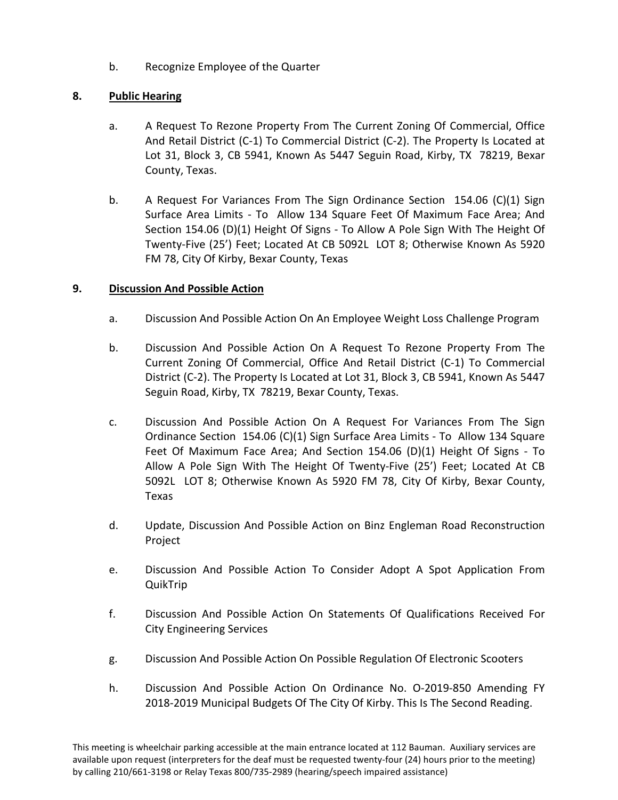b. Recognize Employee of the Quarter

# **8. Public Hearing**

- a. A Request To Rezone Property From The Current Zoning Of Commercial, Office And Retail District (C-1) To Commercial District (C-2). The Property Is Located at Lot 31, Block 3, CB 5941, Known As 5447 Seguin Road, Kirby, TX 78219, Bexar County, Texas.
- b. A Request For Variances From The Sign Ordinance Section 154.06 (C)(1) Sign Surface Area Limits - To Allow 134 Square Feet Of Maximum Face Area; And Section 154.06 (D)(1) Height Of Signs - To Allow A Pole Sign With The Height Of Twenty-Five (25') Feet; Located At CB 5092L LOT 8; Otherwise Known As 5920 FM 78, City Of Kirby, Bexar County, Texas

# **9. Discussion And Possible Action**

- a. Discussion And Possible Action On An Employee Weight Loss Challenge Program
- b. Discussion And Possible Action On A Request To Rezone Property From The Current Zoning Of Commercial, Office And Retail District (C-1) To Commercial District (C-2). The Property Is Located at Lot 31, Block 3, CB 5941, Known As 5447 Seguin Road, Kirby, TX 78219, Bexar County, Texas.
- c. Discussion And Possible Action On A Request For Variances From The Sign Ordinance Section 154.06 (C)(1) Sign Surface Area Limits - To Allow 134 Square Feet Of Maximum Face Area; And Section 154.06 (D)(1) Height Of Signs - To Allow A Pole Sign With The Height Of Twenty-Five (25') Feet; Located At CB 5092L LOT 8; Otherwise Known As 5920 FM 78, City Of Kirby, Bexar County, Texas
- d. Update, Discussion And Possible Action on Binz Engleman Road Reconstruction Project
- e. Discussion And Possible Action To Consider Adopt A Spot Application From QuikTrip
- f. Discussion And Possible Action On Statements Of Qualifications Received For City Engineering Services
- g. Discussion And Possible Action On Possible Regulation Of Electronic Scooters
- h. Discussion And Possible Action On Ordinance No. O-2019-850 Amending FY 2018-2019 Municipal Budgets Of The City Of Kirby. This Is The Second Reading.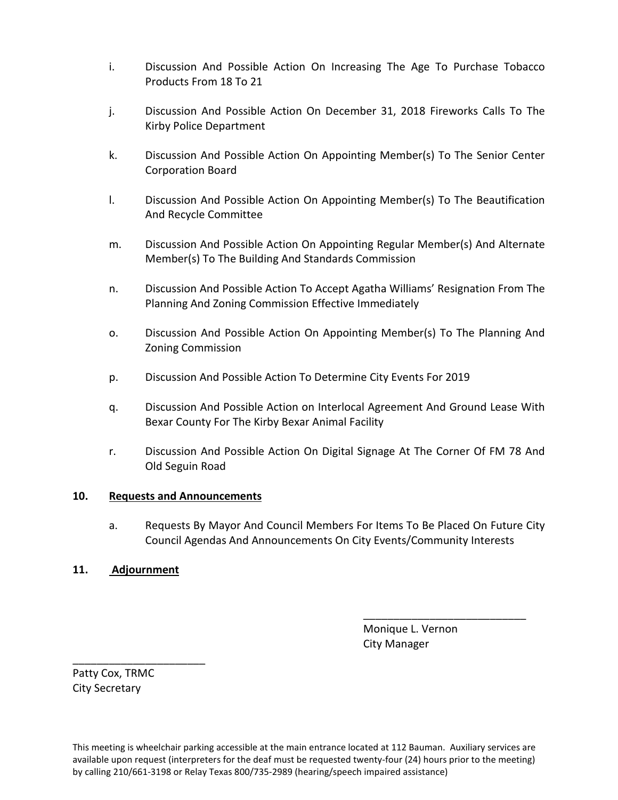- i. Discussion And Possible Action On Increasing The Age To Purchase Tobacco Products From 18 To 21
- j. Discussion And Possible Action On December 31, 2018 Fireworks Calls To The Kirby Police Department
- k. Discussion And Possible Action On Appointing Member(s) To The Senior Center Corporation Board
- l. Discussion And Possible Action On Appointing Member(s) To The Beautification And Recycle Committee
- m. Discussion And Possible Action On Appointing Regular Member(s) And Alternate Member(s) To The Building And Standards Commission
- n. Discussion And Possible Action To Accept Agatha Williams' Resignation From The Planning And Zoning Commission Effective Immediately
- o. Discussion And Possible Action On Appointing Member(s) To The Planning And Zoning Commission
- p. Discussion And Possible Action To Determine City Events For 2019
- q. Discussion And Possible Action on Interlocal Agreement And Ground Lease With Bexar County For The Kirby Bexar Animal Facility
- r. Discussion And Possible Action On Digital Signage At The Corner Of FM 78 And Old Seguin Road

## **10. Requests and Announcements**

a. Requests By Mayor And Council Members For Items To Be Placed On Future City Council Agendas And Announcements On City Events/Community Interests

\_\_\_\_\_\_\_\_\_\_\_\_\_\_\_\_\_\_\_\_\_\_\_\_\_\_\_

## **11. Adjournment**

 Monique L. Vernon City Manager

Patty Cox, TRMC City Secretary

\_\_\_\_\_\_\_\_\_\_\_\_\_\_\_\_\_\_\_\_\_\_

This meeting is wheelchair parking accessible at the main entrance located at 112 Bauman. Auxiliary services are available upon request (interpreters for the deaf must be requested twenty-four (24) hours prior to the meeting) by calling 210/661-3198 or Relay Texas 800/735-2989 (hearing/speech impaired assistance)